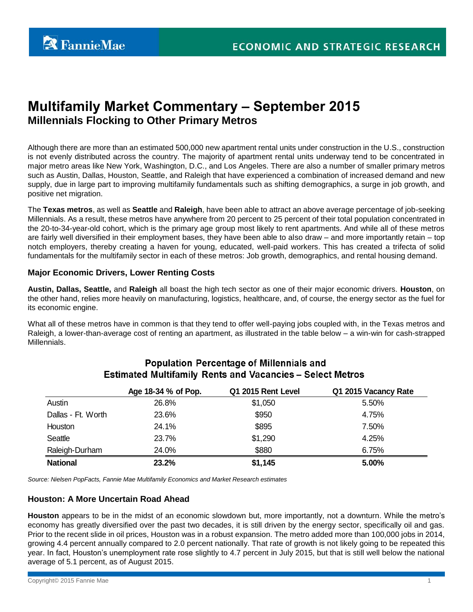# **Multifamily Market Commentary – September 2015 Millennials Flocking to Other Primary Metros**

Although there are more than an estimated 500,000 new apartment rental units under construction in the U.S., construction is not evenly distributed across the country. The majority of apartment rental units underway tend to be concentrated in major metro areas like New York, Washington, D.C., and Los Angeles. There are also a number of smaller primary metros such as Austin, Dallas, Houston, Seattle, and Raleigh that have experienced a combination of increased demand and new supply, due in large part to improving multifamily fundamentals such as shifting demographics, a surge in job growth, and positive net migration.

The **Texas metros**, as well as **Seattle** and **Raleigh**, have been able to attract an above average percentage of job-seeking Millennials. As a result, these metros have anywhere from 20 percent to 25 percent of their total population concentrated in the 20-to-34-year-old cohort, which is the primary age group most likely to rent apartments. And while all of these metros are fairly well diversified in their employment bases, they have been able to also draw – and more importantly retain – top notch employers, thereby creating a haven for young, educated, well-paid workers. This has created a trifecta of solid fundamentals for the multifamily sector in each of these metros: Job growth, demographics, and rental housing demand.

### **Major Economic Drivers, Lower Renting Costs**

**Austin, Dallas, Seattle,** and **Raleigh** all boast the high tech sector as one of their major economic drivers. **Houston**, on the other hand, relies more heavily on manufacturing, logistics, healthcare, and, of course, the energy sector as the fuel for its economic engine.

What all of these metros have in common is that they tend to offer well-paying jobs coupled with, in the Texas metros and Raleigh, a lower-than-average cost of renting an apartment, as illustrated in the table below – a win-win for cash-strapped Millennials.

|                    | Age 18-34 % of Pop. | Q1 2015 Rent Level | Q1 2015 Vacancy Rate |
|--------------------|---------------------|--------------------|----------------------|
| Austin             | 26.8%               | \$1,050            | 5.50%                |
| Dallas - Ft. Worth | 23.6%               | \$950              | 4.75%                |
| Houston            | 24.1%               | \$895              | 7.50%                |
| Seattle            | 23.7%               | \$1,290            | 4.25%                |
| Raleigh-Durham     | 24.0%               | \$880              | 6.75%                |
| <b>National</b>    | 23.2%               | \$1,145            | 5.00%                |

## **Population Percentage of Millennials and Estimated Multifamily Rents and Vacancies - Select Metros**

*Source: Nielsen PopFacts, Fannie Mae Multifamily Economics and Market Research estimates*

#### **Houston: A More Uncertain Road Ahead**

**Houston** appears to be in the midst of an economic slowdown but, more importantly, not a downturn. While the metro's economy has greatly diversified over the past two decades, it is still driven by the energy sector, specifically oil and gas. Prior to the recent slide in oil prices, Houston was in a robust expansion. The metro added more than 100,000 jobs in 2014, growing 4.4 percent annually compared to 2.0 percent nationally. That rate of growth is not likely going to be repeated this year. In fact, Houston's unemployment rate rose slightly to 4.7 percent in July 2015, but that is still well below the national average of 5.1 percent, as of August 2015.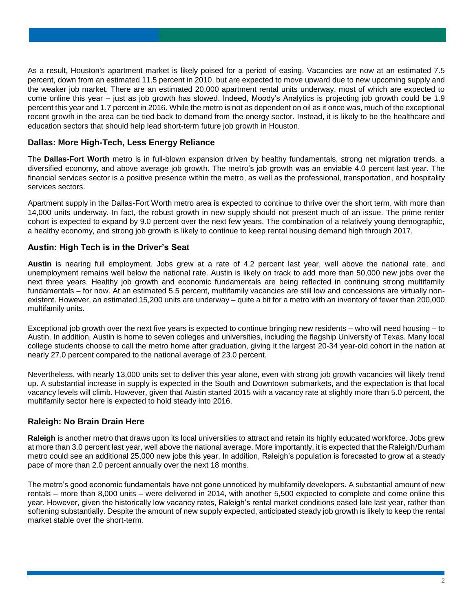As a result, Houston's apartment market is likely poised for a period of easing. Vacancies are now at an estimated 7.5 percent, down from an estimated 11.5 percent in 2010, but are expected to move upward due to new upcoming supply and the weaker job market. There are an estimated 20,000 apartment rental units underway, most of which are expected to come online this year – just as job growth has slowed. Indeed, Moody's Analytics is projecting job growth could be 1.9 percent this year and 1.7 percent in 2016. While the metro is not as dependent on oil as it once was, much of the exceptional recent growth in the area can be tied back to demand from the energy sector. Instead, it is likely to be the healthcare and education sectors that should help lead short-term future job growth in Houston.

## **Dallas: More High-Tech, Less Energy Reliance**

The **Dallas-Fort Worth** metro is in full-blown expansion driven by healthy fundamentals, strong net migration trends, a diversified economy, and above average job growth. The metro's job growth was an enviable 4.0 percent last year. The financial services sector is a positive presence within the metro, as well as the professional, transportation, and hospitality services sectors.

Apartment supply in the Dallas-Fort Worth metro area is expected to continue to thrive over the short term, with more than 14,000 units underway. In fact, the robust growth in new supply should not present much of an issue. The prime renter cohort is expected to expand by 9.0 percent over the next few years. The combination of a relatively young demographic, a healthy economy, and strong job growth is likely to continue to keep rental housing demand high through 2017.

## **Austin: High Tech is in the Driver's Seat**

**Austin** is nearing full employment. Jobs grew at a rate of 4.2 percent last year, well above the national rate, and unemployment remains well below the national rate. Austin is likely on track to add more than 50,000 new jobs over the next three years. Healthy job growth and economic fundamentals are being reflected in continuing strong multifamily fundamentals – for now. At an estimated 5.5 percent, multifamily vacancies are still low and concessions are virtually nonexistent. However, an estimated 15,200 units are underway – quite a bit for a metro with an inventory of fewer than 200,000 multifamily units.

Exceptional job growth over the next five years is expected to continue bringing new residents – who will need housing – to Austin. In addition, Austin is home to seven colleges and universities, including the flagship University of Texas. Many local college students choose to call the metro home after graduation, giving it the largest 20-34 year-old cohort in the nation at nearly 27.0 percent compared to the national average of 23.0 percent.

Nevertheless, with nearly 13,000 units set to deliver this year alone, even with strong job growth vacancies will likely trend up. A substantial increase in supply is expected in the South and Downtown submarkets, and the expectation is that local vacancy levels will climb. However, given that Austin started 2015 with a vacancy rate at slightly more than 5.0 percent, the multifamily sector here is expected to hold steady into 2016.

## **Raleigh: No Brain Drain Here**

**Raleigh** is another metro that draws upon its local universities to attract and retain its highly educated workforce. Jobs grew at more than 3.0 percent last year, well above the national average. More importantly, it is expected that the Raleigh/Durham metro could see an additional 25,000 new jobs this year. In addition, Raleigh's population is forecasted to grow at a steady pace of more than 2.0 percent annually over the next 18 months.

The metro's good economic fundamentals have not gone unnoticed by multifamily developers. A substantial amount of new rentals – more than 8,000 units – were delivered in 2014, with another 5,500 expected to complete and come online this year. However, given the historically low vacancy rates, Raleigh's rental market conditions eased late last year, rather than softening substantially. Despite the amount of new supply expected, anticipated steady job growth is likely to keep the rental market stable over the short-term.